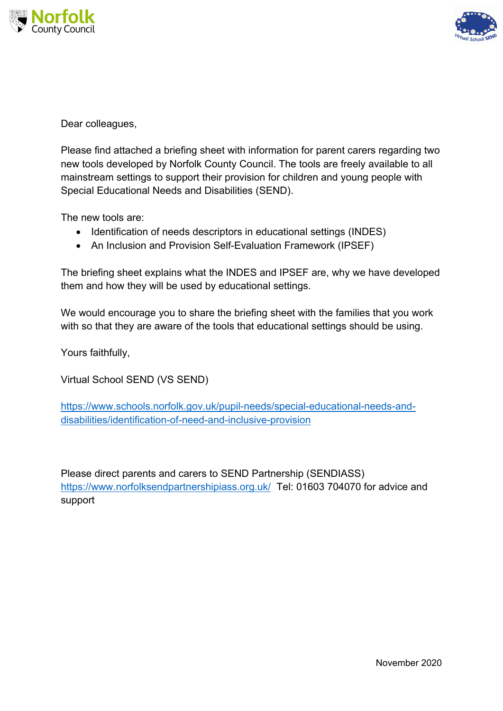



Dear colleagues,

Please find attached a briefing sheet with information for parent carers regarding two new tools developed by Norfolk County Council. The tools are freely available to all mainstream settings to support their provision for children and young people with Special Educational Needs and Disabilities (SEND).

The new tools are:

- Identification of needs descriptors in educational settings (INDES)
- An Inclusion and Provision Self-Evaluation Framework (IPSEF)

The briefing sheet explains what the INDES and IPSEF are, why we have developed them and how they will be used by educational settings.

We would encourage you to share the briefing sheet with the families that you work with so that they are aware of the tools that educational settings should be using.

Yours faithfully,

Virtual School SEND (VS SEND)

<https://www.schools.norfolk.gov.uk/pupil-needs/special-educational-needs-and>disabilities/identification-of-need-and-inclusive-provision

Please direct parents and carers to SEND Partnership (SENDIASS) <https://www.norfolksendpartnershipiass.org.uk>/ Tel: 01603 704070 for advice and support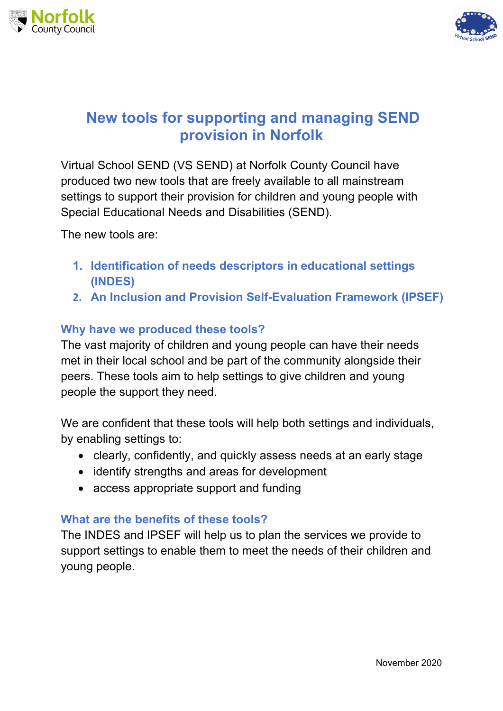



# **New tools for supporting and managing SEND provision in Norfolk**

Virtual School SEND (VS SEND) at Norfolk County Council have produced two new tools that are freely available to all mainstream settings to support their provision for children and young people with Special Educational Needs and Disabilities (SEND).

The new tools are:

- **1. Identification of needs descriptors in educational settings (INDES)**
- **2. An Inclusion and Provision Self-Evaluation Framework (IPSEF)**

#### **Why have we produced these tools?**

The vast majority of children and young people can have their needs met in their local school and be part of the community alongside their peers. These tools aim to help settings to give children and young people the support they need.

 by enabling settings to: We are confident that these tools will help both settings and individuals,

- clearly, confidently, and quickly assess needs at an early stage
- identify strengths and areas for development
- access appropriate support and funding

## **What are the benefits of these tools?**

The INDES and IPSEF will help us to plan the services we provide to support settings to enable them to meet the needs of their children and young people.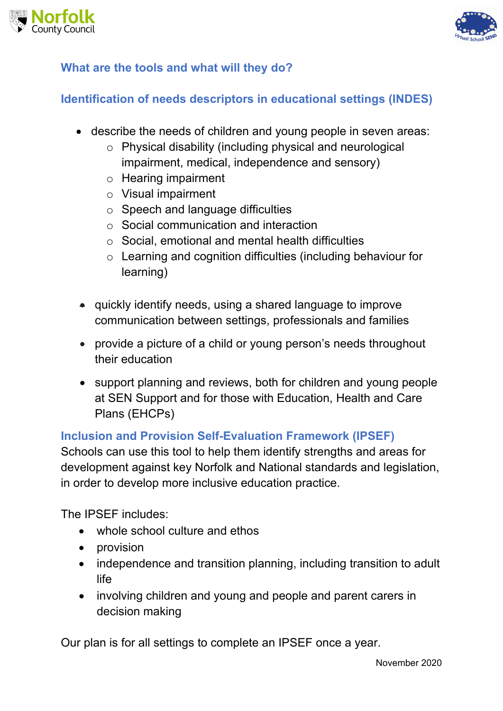



# **What are the tools and what will they do?**

## **Identification of needs descriptors in educational settings (INDES)**

- describe the needs of children and young people in seven areas:
	- o Physical disability (including physical and neurological impairment, medical, independence and sensory)
	- o Hearing impairment
	- o Visual impairment
	- o Speech and language difficulties
	- $\circ$  Social communication and interaction
	- o Social, emotional and mental health difficulties
	- o Learning and cognition difficulties (including behaviour for learning)
	- quickly identify needs, using a shared language to improve communication between settings, professionals and families
	- provide a picture of a child or young person's needs throughout their education
	- support planning and reviews, both for children and young people at SEN Support and for those with Education, Health and Care Plans (EHCPs)

## **Inclusion and Provision Self-Evaluation Framework (IPSEF)**

Schools can use this tool to help them identify strengths and areas for development against key Norfolk and National standards and legislation, in order to develop more inclusive education practice.

The IPSEF includes:

- whole school culture and ethos
- provision
- independence and transition planning, including transition to adult life
- involving children and young and people and parent carers in decision making

Our plan is for all settings to complete an IPSEF once a year.